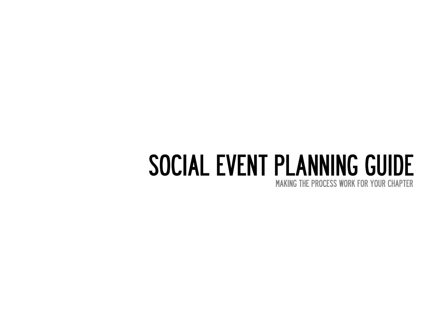# SOCIAL EVENT PLANNING GUIDE

MAKING THE PROCESS WORK FOR YOUR CHAPTER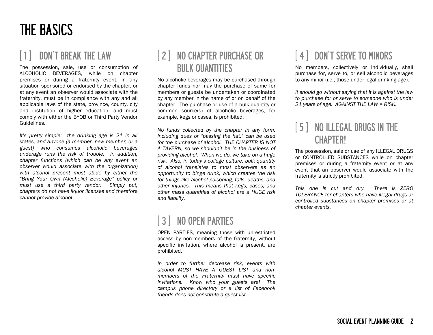### THE BASICS

### DON'T BREAK THE LAW

The possession, sale, use or consumption of ALCOHOLIC BEVERAGES, while on chapter premises or during a fraternity event, in any situation sponsored or endorsed by the chapter, or at any event an observer would associate with the fraternity, must be in compliance with any and all applicable laws of the state, province, county, city and institution of higher education, and must comply with either the BYOB or Third Party Vendor Guidelines.

*It's pretty simple: the drinking age is 21 in all states, and anyone (a member, new member, or a guest) who consumes alcoholic beverages underage runs the risk of trouble. In addition, chapter functions (which can be any event an observer would associate with the organization) with alcohol present must abide by either the "Bring Your Own (Alcoholic) Beverage" policy or must use a third party vendor. Simply put, chapters do not have liquor licenses and therefore cannot provide alcohol.*

### [ 2 ] NO CHAPTER PURCHASE OR BULK QUANTITIES

No alcoholic beverages may be purchased through chapter funds nor may the purchase of same for members or guests be undertaken or coordinated by any member in the name of or on behalf of the chapter. The purchase or use of a bulk quantity or common source(s) of alcoholic beverages, for example, kegs or cases, is prohibited.

*No funds collected by the chapter in any form, including dues or "passing the hat," can be used for the purchase of alcohol. THE CHAPTER IS NOT A TAVERN, so we shouldn't be in the business of providing alcohol. When we do, we take on a huge risk. Also, in today's college culture, bulk quantity of alcohol translates to most observers as an opportunity to binge drink, which creates the risk for things like alcohol poisoning, falls, deaths, and other injuries. This means that kegs, cases, and other mass quantities of alcohol are a HUGE risk and liability.*

### [ 3 ] NO OPEN PARTIES

OPEN PARTIES, meaning those with unrestricted access by non-members of the fraternity, without specific invitation, where alcohol is present, are prohibited.

*In order to further decrease risk, events with alcohol MUST HAVE A GUEST LIST and nonmembers of the Fraternity must have specific invitations. Know who your guests are! The campus phone directory or a list of Facebook friends does not constitute a guest list.* 

### [ 4 ] DON'T SERVE TO MINORS

No members, collectively or individually, shall purchase for, serve to, or sell alcoholic beverages to any minor (i.e., those under legal drinking age).

*It should go without saying that it is against the law to purchase for or serve to someone who is under 21 years of age. AGAINST THE LAW = RISK.*

### [ 5 ] NO ILLEGAL DRUGS IN THE **CHAPTER!**

The possession, sale or use of any ILLEGAL DRUGS or CONTROLLED SUBSTANCES while on chapter premises or during a fraternity event or at any event that an observer would associate with the fraternity is strictly prohibited.

*This one is cut and dry. There is ZERO TOLERANCE for chapters who have illegal drugs or controlled substances on chapter premises or at chapter events.*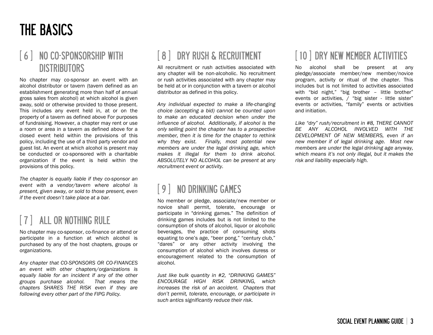### THE BASICS

### [ 6 ] NO CO-SPONSORSHIP WITH **DISTRIBUTORS**

No chapter may co-sponsor an event with an alcohol distributor or tavern (tavern defined as an establishment generating more than half of annual gross sales from alcohol) at which alcohol is given away, sold or otherwise provided to those present. This includes any event held in, at or on the property of a tavern as defined above For purposes of fundraising. However, a chapter may rent or use a room or area in a tavern as defined above for a closed event held within the provisions of this policy, including the use of a third party vendor and guest list. An event at which alcohol is present may be conducted or co-sponsored with a charitable organization if the event is held within the provisions of this policy.

*The chapter is equally liable if they co-sponsor an event with a vendor/tavern where alcohol is present, given away, or sold to those present, even if the event doesn't take place at a bar.*

### [ 7 ] ALL OR NOTHING RULE

No chapter may co-sponsor, co-finance or attend or participate in a function at which alcohol is purchased by any of the host chapters, groups or organizations.

*Any chapter that CO-SPONSORS OR CO-FINANCES an event with other chapters/organizations is equally liable for an incident if any of the other groups purchase alcohol. That means the chapters SHARES THE RISK even if they are following every other part of the FIPG Policy.*

### [ 8 ] DRY RUSH & RECRUITMENT

All recruitment or rush activities associated with any chapter will be non-alcoholic. No recruitment or rush activities associated with any chapter may be held at or in conjunction with a tavern or alcohol distributor as defined in this policy.

*Any individual expected to make a life-changing choice (accepting a bid) cannot be counted upon to make an educated decision when under the influence of alcohol. Additionally, if alcohol is the only selling point the chapter has to a prospective member, then it is time for the chapter to rethink why they exist. Finally, most potential new members are under the legal drinking age, which makes it illegal for them to drink alcohol. ABSOLUTELY NO ALCOHOL can be present at any recruitment event or activity.*

### NO DRINKING GAMES

No member or pledge, associate/new member or novice shall permit, tolerate, encourage or participate in "drinking games." The definition of drinking games includes but is not limited to the consumption of shots of alcohol, liquor or alcoholic beverages, the practice of consuming shots equating to one's age, "beer pong," "century club," "dares" or any other activity involving the consumption of alcohol which involves duress or encouragement related to the consumption of alcohol.

*Just like bulk quantity in #2, "DRINKING GAMES" ENCOURAGE HIGH RISK DRINKING, which increases the risk of an accident. Chapters that don't permit, tolerate, encourage, or participate in such antics significantly reduce their risk.*

### [ 10 ] DRY NEW MEMBER ACTIVITIES

No alcohol shall be present at any pledge/associate member/new member/novice program, activity or ritual of the chapter. This includes but is not limited to activities associated with "bid night," "big brother – little brother" events or activities, / "big sister - little sister" events or activities, "family" events or activities and initiation.

*Like "dry" rush/recruitment in #8, THERE CANNOT BE ANY ALCOHOL INVOLVED WITH THE DEVELOPMENT OF NEW MEMBERS, even if an new member if of legal drinking age. Most new members are under the legal drinking age anyway, which means it's not only illegal, but it makes the risk and liability especially high.*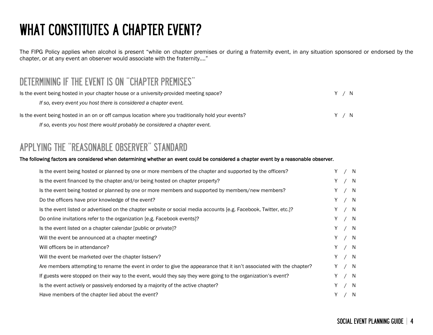# WHAT CONSTITUTES A CHAPTER EVENT?

The FIPG Policy applies when alcohol is present "while on chapter premises or during a fraternity event, in any situation sponsored or endorsed by the chapter, or at any event an observer would associate with the fraternity…."

### DETERMINING IF THE EVENT IS ON "CHAPTER PREMISES"

| Is the event being hosted in your chapter house or a university-provided meeting space?             | Y / | N     |  |
|-----------------------------------------------------------------------------------------------------|-----|-------|--|
| If so, every event you host there is considered a chapter event.                                    |     |       |  |
| Is the event being hosted in an on or off campus location where you traditionally hold your events? |     | Y / N |  |
| If so, events you host there would probably be considered a chapter event.                          |     |       |  |

### APPLYING THE "REASONABLE OBSERVER" STANDARD

#### The following factors are considered when determining whether an event could be considered a chapter event by a reasonable observer.

| Is the event being hosted or planned by one or more members of the chapter and supported by the officers?             |    | Y / N |     |
|-----------------------------------------------------------------------------------------------------------------------|----|-------|-----|
| Is the event financed by the chapter and/or being hosted on chapter property?                                         |    | Y / N |     |
| Is the event being hosted or planned by one or more members and supported by members/new members?                     | Y. | / N   |     |
| Do the officers have prior knowledge of the event?                                                                    |    | Y / N |     |
| Is the event listed or advertised on the chapter website or social media accounts [e.g. Facebook, Twitter, etc.]?     |    | Y / N |     |
| Do online invitations refer to the organization [e.g. Facebook events]?                                               |    | Y / N |     |
| Is the event listed on a chapter calendar (public or private)?                                                        |    | Y / N |     |
| Will the event be announced at a chapter meeting?                                                                     |    | Y / N |     |
| Will officers be in attendance?                                                                                       |    | Y / N |     |
| Will the event be marketed over the chapter listserv?                                                                 |    | Y / N |     |
| Are members attempting to rename the event in order to give the appearance that it isn't associated with the chapter? |    | Y / N |     |
| If guests were stopped on their way to the event, would they say they were going to the organization's event?         | Y. | / N   |     |
| Is the event actively or passively endorsed by a majority of the active chapter?                                      | Y. |       | / N |
| Have members of the chapter lied about the event?                                                                     |    | Y / N |     |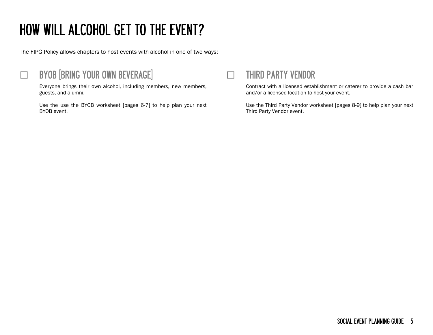# HOW WILL ALCOHOL GET TO THE EVENT?

The FIPG Policy allows chapters to host events with alcohol in one of two ways:



### **EXAMPLE 15 BYOB [BRING YOUR OWN BEVERAGE]**

Everyone brings their own alcohol, including members, new members, guests, and alumni.

Use the use the BYOB worksheet [pages 6-7] to help plan your next BYOB event.



Contract with a licensed establishment or caterer to provide a cash bar and/or a licensed location to host your event.

Use the Third Party Vendor worksheet [pages 8-9] to help plan your next Third Party Vendor event.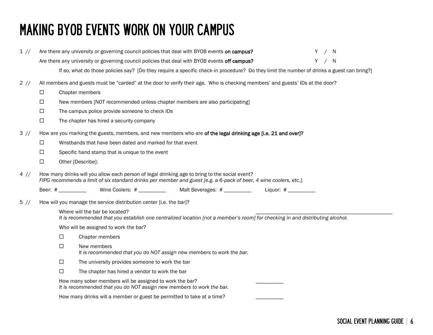## MAKING BYOB EVENTS WORK ON YOUR CAMPUS

| 1 //   |                    | Are there any university or governing council policies that deal with BYOB events on campus?<br>- N<br>Y                                                                                                             |
|--------|--------------------|----------------------------------------------------------------------------------------------------------------------------------------------------------------------------------------------------------------------|
|        |                    | / N<br>Are there any university or governing council policies that deal with BYOB events off campus?<br>Y                                                                                                            |
|        |                    | If so, what do those policies say? [Do they require a specific check-in procedure? Do they limit the number of drinks a guest can bring?]                                                                            |
| 2 / 1  |                    | All members and guests must be "carded" at the door to verify their age. Who is checking members' and guests' IDs at the door?                                                                                       |
|        | □                  | Chapter members                                                                                                                                                                                                      |
|        | □                  | New members [NOT recommended unless chapter members are also participating]                                                                                                                                          |
|        | $\Box$             | The campus police provide someone to check IDs                                                                                                                                                                       |
|        | □                  | The chapter has hired a security company                                                                                                                                                                             |
| 3 //   |                    | How are you marking the guests, members, and new members who are of the legal drinking age [i.e. 21 and over]?                                                                                                       |
|        | $\Box$             | Wristbands that have been dated and marked for that event                                                                                                                                                            |
|        | □                  | Specific hand stamp that is unique to the event                                                                                                                                                                      |
|        | $\Box$             | Other [Describe]:                                                                                                                                                                                                    |
| 4 //   |                    | How many drinks will you allow each person of legal drinking age to bring to the social event?<br>FIPG recommends a limit of six standard drinks per member and guest [e.g. a 6-pack of beer, 4 wine coolers, etc.]. |
|        | Beer: # __________ | Wine Coolers: # ___________ Malt Beverages: # _________ Liquor: # _________                                                                                                                                          |
| $5$ // |                    | How will you manage the service distribution center [i.e. the bar]?                                                                                                                                                  |
|        |                    | Where will the bar be located?<br>It is recommended that you establish one centralized location [not a member's room] for checking in and distributing alcohol.                                                      |
|        |                    | Who will be assigned to work the bar?                                                                                                                                                                                |
|        | □                  | Chapter members                                                                                                                                                                                                      |
|        | $\Box$             | New members                                                                                                                                                                                                          |
|        |                    | It is recommended that you do NOT assign new members to work the bar.                                                                                                                                                |
|        | $\Box$             | The university provides someone to work the bar                                                                                                                                                                      |
|        | □                  | The chapter has hired a vendor to work the bar                                                                                                                                                                       |
|        |                    | How many sober members will be assigned to work the bar?<br>It is recommended that you do NOT assign new members to work the bar.                                                                                    |
|        |                    | How many drinks will a member or guest be permitted to take at a time?                                                                                                                                               |
|        |                    |                                                                                                                                                                                                                      |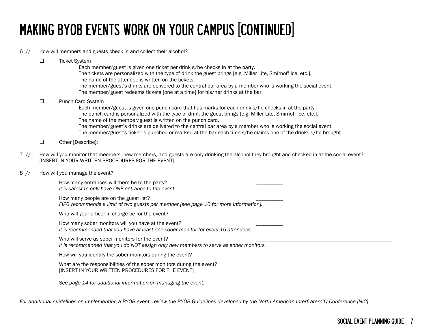# MAKING BYOB EVENTS WORK ON YOUR CAMPUS [CONTINUED]

#### 6 // How will members and guests check in and collect their alcohol?

- $\square$  Ticket System Each member/guest is given one ticket per drink s/he checks in at the party. The tickets are personalized with the type of drink the guest brings [e.g. Miller Lite, Smirnoff Ice, etc.]. The name of the attendee is written on the tickets. The member/guest's drinks are delivered to the central bar area by a member who is working the social event. The member/guest redeems tickets [one at a time] for his/her drinks at the bar. □ Punch Card System Each member/guest is given one punch card that has marks for each drink s/he checks in at the party. The punch card is personalized with the type of drink the guest brings [e.g. Miller Lite, Smirnoff Ice, etc.]. The name of the member/guest is written on the punch card. The member/guest's drinks are delivered to the central bar area by a member who is working the social event. The member/guest's ticket is punched or marked at the bar each time s/he claims one of the drinks s/he brought. □ Other [Describe]:
- 7 // How will you monitor that members, new members, and guests are only drinking the alcohol they brought and checked in at the social event? [INSERT IN YOUR WRITTEN PROCEDURES FOR THE EVENT]
- 8 // How will you manage the event?

How many entrances will there be to the party? *It is safest to only have ONE entrance to the event.*

How many people are on the guest list? *FIPG recommends a limit of two guests per member [see page 10 for more information].*

Who will your officer in charge be for the event?

How many sober monitors will you have at the event? *It is recommended that you have at least one sober monitor for every 15 attendees.*

Who will serve as sober monitors for the event? *It is recommended that you do NOT assign only new members to serve as sober monitors.*

How will you identify the sober monitors during the event?

What are the responsibilities of the sober monitors during the event? [INSERT IN YOUR WRITTEN PROCEDURES FOR THE EVENT]

*See page 14 for additional information on managing the event.*

*For additional guidelines on implementing a BYOB event, review the BYOB Guidelines developed by the North-American Interfraternity Conference [NIC].*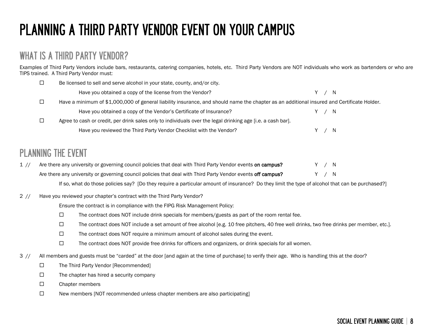# PLANNING A THIRD PARTY VENDOR EVENT ON YOUR CAMPUS

#### WHAT IS A THIRD PARTY VENDOR?

Examples of Third Party Vendors include bars, restaurants, catering companies, hotels, etc. Third Party Vendors are NOT individuals who work as bartenders or who are TIPS trained. A Third Party Vendor must:

| Be licensed to sell and serve alcohol in your state, county, and/or city.                                                                  |       |     |
|--------------------------------------------------------------------------------------------------------------------------------------------|-------|-----|
| Have you obtained a copy of the license from the Vendor?                                                                                   | Y / N |     |
| Have a minimum of \$1,000,000 of general liability insurance, and should name the chapter as an additional insured and Certificate Holder. |       |     |
| Have you obtained a copy of the Vendor's Certificate of Insurance?                                                                         | Y/N   |     |
| Agree to cash or credit, per drink sales only to individuals over the legal drinking age [i.e. a cash bar].                                |       |     |
| Have you reviewed the Third Party Vendor Checklist with the Vendor?                                                                        |       | - N |

### PLANNING THE EVENT

| Are there any university or governing council policies that deal with Third Party Vendor events on campus?  | Y/N |  |
|-------------------------------------------------------------------------------------------------------------|-----|--|
| Are there any university or governing council policies that deal with Third Party Vendor events off campus? | Y/N |  |

If so, what do those policies say? [Do they require a particular amount of insurance? Do they limit the type of alcohol that can be purchased?]

#### 2 // Have you reviewed your chapter's contract with the Third Party Vendor?

Ensure the contract is in compliance with the FIPG Risk Management Policy:

- $\Box$  The contract does NOT include drink specials for members/guests as part of the room rental fee.
- The contract does NOT include a set amount of free alcohol [e.g. 10 free pitchers, 40 free well drinks, two free drinks per member, etc.].
- $\Box$  The contract does NOT require a minimum amount of alcohol sales during the event.
- $\Box$  The contract does NOT provide free drinks for officers and organizers, or drink specials for all women.
- 3 // All members and guests must be "carded" at the door [and again at the time of purchase] to verify their age. Who is handling this at the door?
	- $\square$  The Third Party Vendor [Recommended]
	- $\square$  The chapter has hired a security company
	- □ Chapter members
	- $\square$  New members [NOT recommended unless chapter members are also participating]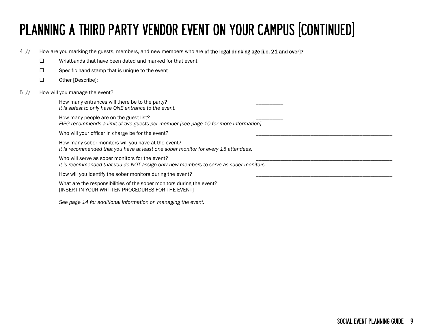# PLANNING A THIRD PARTY VENDOR EVENT ON YOUR CAMPUS [CONTINUED]

4 // How are you marking the guests, members, and new members who are of the legal drinking age [i.e. 21 and over]?

- $\square$  Wristbands that have been dated and marked for that event
- $\square$  Specific hand stamp that is unique to the event
- □ Other [Describe]:
- 5 // How will you manage the event?

How many entrances will there be to the party? *It is safest to only have ONE entrance to the event.*

How many people are on the guest list? *FIPG recommends a limit of two guests per member [see page 10 for more information].*

Who will your officer in charge be for the event?

How many sober monitors will you have at the event? *It is recommended that you have at least one sober monitor for every 15 attendees.*

Who will serve as sober monitors for the event? *It is recommended that you do NOT assign only new members to serve as sober monitors.*

How will you identify the sober monitors during the event?

What are the responsibilities of the sober monitors during the event? [INSERT IN YOUR WRITTEN PROCEDURES FOR THE EVENT]

*See page 14 for additional information on managing the event.*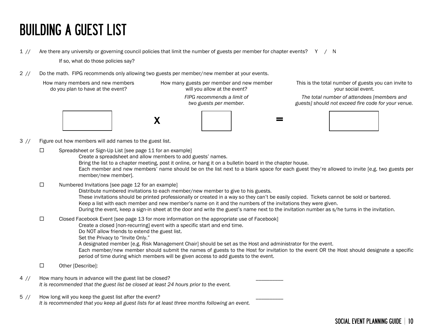### BUILDING A GUEST LIST

1 // Are there any university or governing council policies that limit the number of guests per member for chapter events? Y / N

If so, what do those policies say?

2 // Do the math. FIPG recommends only allowing two guests per member/new member at your events.

How many members and new members do you plan to have at the event?

How many guests per member and new member will you allow at the event? *FIPG recommends a limit of two guests per member.*







This is the total number of guests you can invite to your social event.

*The total number of attendees [members and guests] should not exceed fire code for your venue.*



- 3 // Figure out how members will add names to the guest list.
	- $\square$  Spreadsheet or Sign-Up List [see page 11 for an example]

Create a spreadsheet and allow members to add guests' names.

Bring the list to a chapter meeting, post it online, or hang it on a bulletin board in the chapter house.

Each member and new members' name should be on the list next to a blank space for each guest they're allowed to invite [e.g. two guests per member/new member].

 $\square$  Numbered Invitations [see page 12 for an example]

Distribute numbered invitations to each member/new member to give to his guests. These invitations should be printed professionally or created in a way so they can't be easily copied. Tickets cannot be sold or bartered. Keep a list with each member and new member's name on it and the numbers of the invitations they were given. During the event, keep a sign-in sheet at the door and write the guest's name next to the invitation number as s/he turns in the invitation.

#### $\square$  Closed Facebook Event [see page 13 for more information on the appropriate use of Facebook]

Create a closed [non-recurring] event with a specific start and end time.

Do NOT allow friends to extend the guest list.

Set the Privacy to "Invite Only."

A designated member [e.g. Risk Management Chair] should be set as the Host and administrator for the event.

Each member/new member should submit the names of guests to the Host for invitation to the event OR the Host should designate a specific period of time during which members will be given access to add guests to the event.

- □ Other [Describe]:
- 4 // How many hours in advance will the guest list be closed? *It is recommended that the guest list be closed at least 24 hours prior to the event.*
- 5 // How long will you keep the guest list after the event? *It is recommended that you keep all guest lists for at least three months following an event.*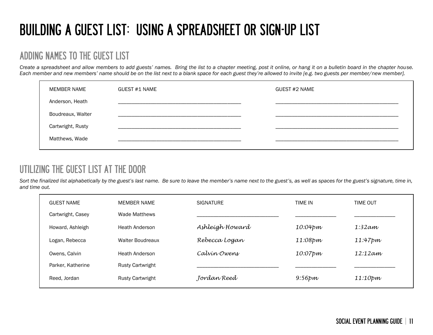### BUILDING A GUEST LIST: USING A SPREADSHEET OR SIGN-UP LIST

#### ADDING NAMES TO THE GUEST LIST

*Create a spreadsheet and allow members to add guests' names. Bring the list to a chapter meeting, post it online, or hang it on a bulletin board in the chapter house. Each member and new members' name should be on the list next to a blank space for each guest they're allowed to invite [e.g. two guests per member/new member].* 

| MEMBER NAME       | <b>GUEST #1 NAME</b> | GUEST #2 NAME |
|-------------------|----------------------|---------------|
| Anderson, Heath   |                      |               |
| Boudreaux, Walter |                      |               |
| Cartwright, Rusty |                      |               |
| Matthews, Wade    |                      |               |
|                   |                      |               |

### UTILIZING THE GUEST LIST AT THE DOOR

*Sort the finalized list alphabetically by the guest's last name. Be sure to leave the member's name next to the guest's, as well as spaces for the guest's signature, time in, and time out.*

| <b>GUEST NAME</b> | <b>MEMBER NAME</b>      | <b>SIGNATURE</b> | TIME IN          | <b>TIME OUT</b> |
|-------------------|-------------------------|------------------|------------------|-----------------|
| Cartwright, Casey | Wade Matthews           |                  |                  |                 |
| Howard, Ashleigh  | Heath Anderson          | Ashleigh Howard  | 10:04pm          | $1:32$ am       |
| Logan, Rebecca    | <b>Walter Boudreaux</b> | Rebecca Logan    | 11:08pm          | 11:47pm         |
| Owens, Calvin     | Heath Anderson          | Calvín Owens     | 10:07pm          | 12:12am         |
| Parker, Katherine | <b>Rusty Cartwright</b> |                  |                  |                 |
| Reed, Jordan      | <b>Rusty Cartwright</b> | Jordan Reed      | $9:56$ <i>pm</i> | $11:10$ pm      |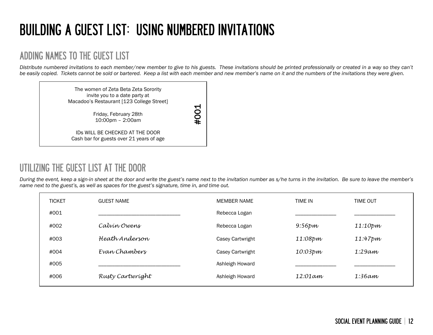## BUILDING A GUEST LIST: USING NUMBERED INVITATIONS

#### ADDING NAMES TO THE GUEST LIST

*Distribute numbered invitations to each member/new member to give to his guests. These invitations should be printed professionally or created in a way so they can't be easily copied. Tickets cannot be sold or bartered. Keep a list with each member and new member's name on it and the numbers of the invitations they were given.* 

> The women of Zeta Beta Zeta Sorority invite you to a date party at Macadoo's Restaurant [123 College Street]

#### UTILIZING THE GUEST LIST AT THE DOOR

*During the event, keep a sign-in sheet at the door and write the guest's name next to the invitation number as s/he turns in the invitation. Be sure to leave the member's name next to the guest's, as well as spaces for the guest's signature, time in, and time out.*

|               | <b>Macauou 3 Restaurant   123 Conege Street  </b>                                                                                                                                                                                                            | $\blacktriangleleft$ |                |                 |  |
|---------------|--------------------------------------------------------------------------------------------------------------------------------------------------------------------------------------------------------------------------------------------------------------|----------------------|----------------|-----------------|--|
|               | Friday, February 28th<br>10:00pm - 2:00am                                                                                                                                                                                                                    | #00                  |                |                 |  |
|               | IDS WILL BE CHECKED AT THE DOOR<br>Cash bar for guests over 21 years of age                                                                                                                                                                                  |                      |                |                 |  |
|               |                                                                                                                                                                                                                                                              |                      |                |                 |  |
|               | NG THE GUEST LIST AT THE DOOR                                                                                                                                                                                                                                |                      |                |                 |  |
|               | e event, keep a sign-in sheet at the door and write the guest's name next to the invitation number as s/he turns in the invitation.  Be sure to leave the member's<br>xt to the guest's, as well as spaces for the guest's signature, time in, and time out. |                      |                |                 |  |
| <b>TICKET</b> | <b>GUEST NAME</b>                                                                                                                                                                                                                                            | <b>MEMBER NAME</b>   | <b>TIME IN</b> | <b>TIME OUT</b> |  |
| #001          |                                                                                                                                                                                                                                                              | Rebecca Logan        |                |                 |  |
| #002          | Calvin Owens                                                                                                                                                                                                                                                 | Rebecca Logan        | $9:56$ pm      | 11:10pm         |  |
| #003          | Heath Anderson                                                                                                                                                                                                                                               | Casey Cartwright     | 11:08pm        | 11:47pm         |  |
| #004          | Evan Chambers                                                                                                                                                                                                                                                | Casey Cartwright     | 10:03pm        | 1:29am          |  |
| #005          |                                                                                                                                                                                                                                                              | Ashleigh Howard      |                |                 |  |
| #006          | Rusty Cartwright                                                                                                                                                                                                                                             | Ashleigh Howard      | 12:01am        | $1:36$ am       |  |
|               |                                                                                                                                                                                                                                                              |                      |                |                 |  |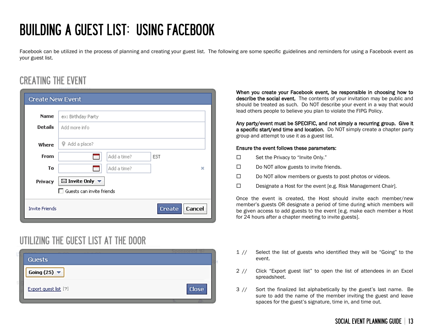## BUILDING A GUEST LIST: USING FACEBOOK

Facebook can be utilized in the process of planning and creating your guest list. The following are some specific guidelines and reminders for using a Facebook event as your guest list.

### CREATING THE EVENT

| <b>Create New Event</b> |                                              |
|-------------------------|----------------------------------------------|
|                         |                                              |
| <b>Name</b>             | ex: Birthday Party                           |
| <b>Details</b>          | Add more info                                |
| Where                   | Add a place?<br>9.                           |
| <b>From</b>             | Add a time?<br><b>EST</b>                    |
| To                      | Add a time?<br>×                             |
| Privacy                 | $\boxtimes$ Invite Only $\blacktriangledown$ |
|                         | Guests can invite friends                    |
| <b>Invite Friends</b>   | Cancel<br>Create                             |

#### UTILIZING THE GUEST LIST AT THE DOOR



When you create your Facebook event, be responsible in choosing how to describe the social event. The contents of your invitation may be public and should be treated as such. Do NOT describe your event in a way that would lead others people to believe you plan to violate the FIPG Policy.

Any party/event must be SPECIFIC, and not simply a recurring group. Give it a specific start/end time and location. Do NOT simply create a chapter party group and attempt to use it as a guest list.

#### Ensure the event follows these parameters:

- $\square$  Set the Privacy to "Invite Only."
- $\square$  Do NOT allow guests to invite friends.
- $\square$  Do NOT allow members or guests to post photos or videos.
- $\square$  Designate a Host for the event [e.g. Risk Management Chair].

Once the event is created, the Host should invite each member/new member's guests OR designate a period of time during which members will be given access to add guests to the event [e.g. make each member a Host for 24 hours after a chapter meeting to invite guests].

- 1 // Select the list of guests who identified they will be "Going" to the event.
- 2 // Click "Export guest list" to open the list of attendees in an Excel spreadsheet.
- 3 // Sort the finalized list alphabetically by the guest's last name. Be sure to add the name of the member inviting the guest and leave spaces for the guest's signature, time in, and time out.

#### SOCIAL EVENT PLANNING GUIDE | 13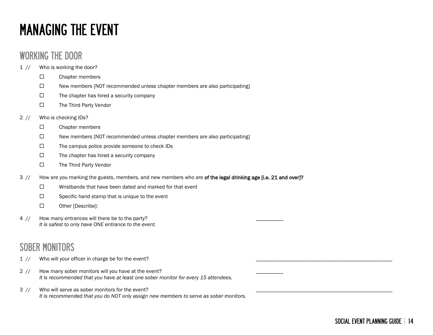### MANAGING THE EVENT

#### WORKING THE DOOR

- 1 // Who is working the door?
	- $\square$  Chapter members
	- $\square$  New members [NOT recommended unless chapter members are also participating]
	- $\Box$  The chapter has hired a security company
	- The Third Party Vendor

#### 2 // Who is checking IDs?

- $\square$  Chapter members
- $\Box$  New members [NOT recommended unless chapter members are also participating]
- $\square$  The campus police provide someone to check IDs
- $\square$  The chapter has hired a security company
- □ The Third Party Vendor
- 3 // How are you marking the guests, members, and new members who are of the legal drinking age [i.e. 21 and over]?
	- $\square$  Wristbands that have been dated and marked for that event
	- $\Box$  Specific hand stamp that is unique to the event
	- □ Other [Describe]:
- 4 // How many entrances will there be to the party? *It is safest to only have ONE entrance to the event.*

#### SOBER MONITORS

- 1 // Who will your officer in charge be for the event?
- 2 // How many sober monitors will you have at the event? *It is recommended that you have at least one sober monitor for every 15 attendees.*
- 3 // Who will serve as sober monitors for the event? *It is recommended that you do NOT only assign new members to serve as sober monitors.*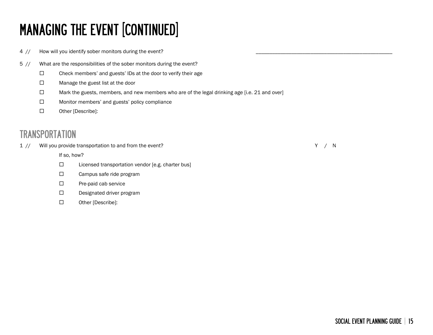# MANAGING THE EVENT [CONTINUED]

4 // How will you identify sober monitors during the event?

- 5 // What are the responsibilities of the sober monitors during the event?
	- $\Box$  Check members' and guests' IDs at the door to verify their age
	- □ Manage the guest list at the door
	- $\Box$  Mark the guests, members, and new members who are of the legal drinking age [i.e. 21 and over]
	- □ Monitor members' and guests' policy compliance
	- □ Other [Describe]:

#### **TRANSPORTATION**

1 // Will you provide transportation to and from the event? The same state of the state of the state of the state of the state of the state of the state of the state of the state of the state of the state of the state of t

If so, how?

- $\square$  Licensed transportation vendor [e.g. charter bus]
- □ Campus safe ride program
- $\square$  Pre-paid cab service
- Designated driver program
- Other [Describe]: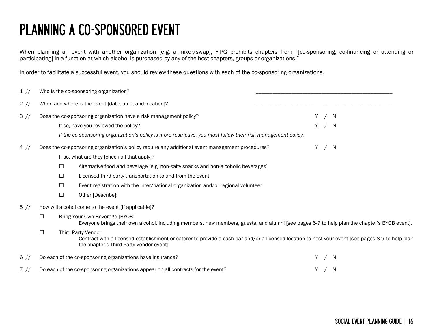### PLANNING A CO-SPONSORED EVENT

When planning an event with another organization [e.g. a mixer/swap], FIPG prohibits chapters from "[co-sponsoring, co-financing or attending or participating] in a function at which alcohol is purchased by any of the host chapters, groups or organizations."

In order to facilitate a successful event, you should review these questions with each of the co-sponsoring organizations.

| 1 //   |        |        | Who is the co-sponsoring organization?                                                                                                                                                                                     |   |       |  |
|--------|--------|--------|----------------------------------------------------------------------------------------------------------------------------------------------------------------------------------------------------------------------------|---|-------|--|
| $2$ // |        |        | When and where is the event [date, time, and location]?                                                                                                                                                                    |   |       |  |
| 3 //   |        |        | Does the co-sponsoring organization have a risk management policy?                                                                                                                                                         |   | Y / N |  |
|        |        |        | If so, have you reviewed the policy?                                                                                                                                                                                       |   | Y / N |  |
|        |        |        | If the co-sponsoring organization's policy is more restrictive, you must follow their risk management policy.                                                                                                              |   |       |  |
| 4 //   |        |        | Does the co-sponsoring organization's policy require any additional event management procedures?                                                                                                                           | Y | 'N    |  |
|        |        |        | If so, what are they [check all that apply]?                                                                                                                                                                               |   |       |  |
|        |        | $\Box$ | Alternative food and beverage [e.g. non-salty snacks and non-alcoholic beverages]                                                                                                                                          |   |       |  |
|        |        | $\Box$ | Licensed third party transportation to and from the event                                                                                                                                                                  |   |       |  |
|        |        | $\Box$ | Event registration with the inter/national organization and/or regional volunteer                                                                                                                                          |   |       |  |
|        |        | $\Box$ | Other [Describe]:                                                                                                                                                                                                          |   |       |  |
| $5$ // |        |        | How will alcohol come to the event [if applicable]?                                                                                                                                                                        |   |       |  |
|        | □      |        | Bring Your Own Beverage [BYOB]<br>Everyone brings their own alcohol, including members, new members, guests, and alumni [see pages 6-7 to help plan the chapter's BYOB event].                                             |   |       |  |
|        | $\Box$ |        | <b>Third Party Vendor</b><br>Contract with a licensed establishment or caterer to provide a cash bar and/or a licensed location to host your event [see pages 8-9 to help plan<br>the chapter's Third Party Vendor event]. |   |       |  |
| $6$ // |        |        | Do each of the co-sponsoring organizations have insurance?                                                                                                                                                                 | Y | – N   |  |
| $7$ // |        |        | Do each of the co-sponsoring organizations appear on all contracts for the event?                                                                                                                                          |   | Y / N |  |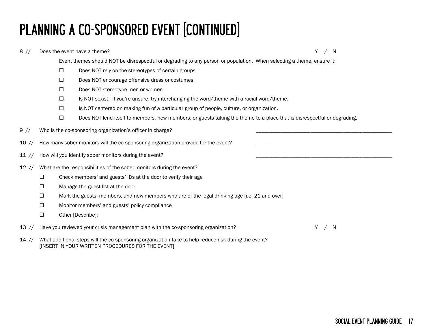# PLANNING A CO-SPONSORED EVENT [CONTINUED]

#### 8 // Does the event have a theme? The state of the state of the state of the state of the state of the state of the state of the state of the state of the state of the state of the state of the state of the state of the st Event themes should NOT be disrespectful or degrading to any person or population. When selecting a theme, ensure it:  $\square$  Does NOT rely on the stereotypes of certain groups. D Does NOT encourage offensive dress or costumes. Does NOT stereotype men or women.  $\Box$  Is NOT sexist. If you're unsure, try interchanging the word/theme with a racial word/theme.  $\square$  Is NOT centered on making fun of a particular group of people, culture, or organization.  $\square$  Does NOT lend itself to members, new members, or guests taking the theme to a place that is disrespectful or degrading. 9 // Who is the co-sponsoring organization's officer in charge? 10 // How many sober monitors will the co-sponsoring organization provide for the event? 11 // How will you identify sober monitors during the event? 12 // What are the responsibilities of the sober monitors during the event?  $\Box$  Check members' and guests' IDs at the door to verify their age □ Manage the guest list at the door  $\Box$  Mark the guests, members, and new members who are of the legal drinking age [i.e. 21 and over]  $\Box$  Monitor members' and guests' policy compliance □ Other [Describe]: 13 // Have you reviewed your crisis management plan with the co-sponsoring organization? The management of the M

14 // What additional steps will the co-sponsoring organization take to help reduce risk during the event? [INSERT IN YOUR WRITTEN PROCEDURES FOR THE EVENT]